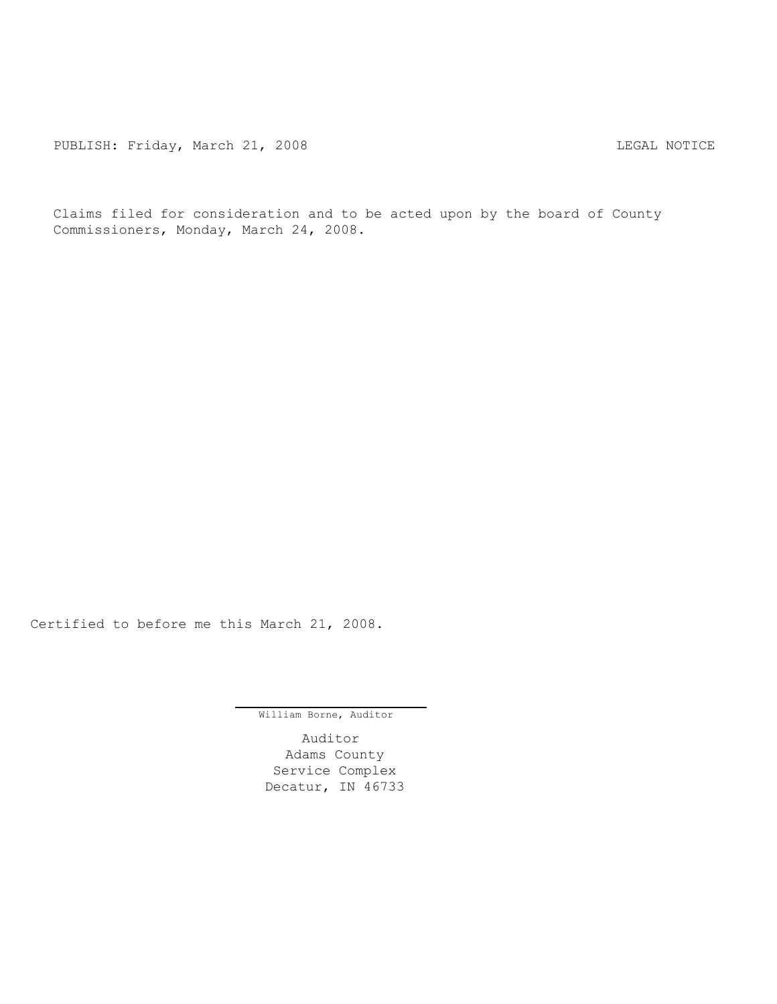Claims filed for consideration and to be acted upon by the board of County Commissioners, Monday, March 24, 2008.

Certified to before me this March 21, 2008.

William Borne, Auditor

Auditor Adams County Service Complex Decatur, IN 46733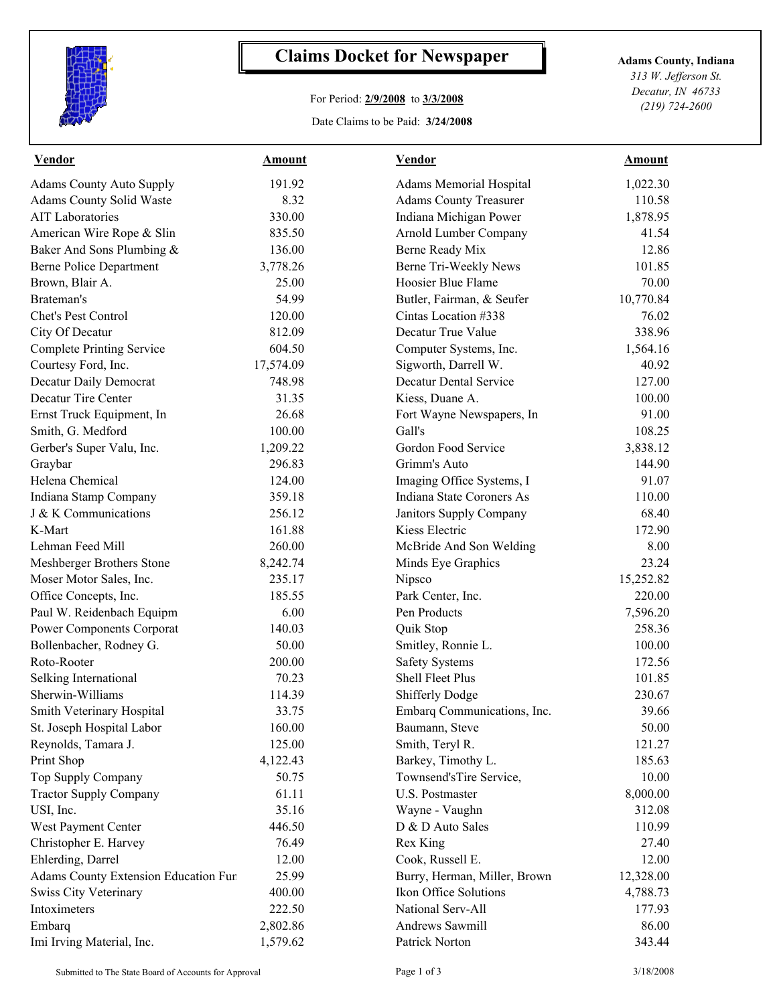

## **Claims Docket for Newspaper Adams County, Indiana**

## For Period: **2/9/2008** to **3/3/2008**

Date Claims to be Paid: **3/24/2008**

*313 W. Jefferson St. Decatur, IN 46733 (219) 724-2600*

| <b>Vendor</b>                        | <b>Amount</b> | <b>Vendor</b>                  | <u>Amount</u> |
|--------------------------------------|---------------|--------------------------------|---------------|
| <b>Adams County Auto Supply</b>      | 191.92        | <b>Adams Memorial Hospital</b> | 1,022.30      |
| Adams County Solid Waste             | 8.32          | <b>Adams County Treasurer</b>  | 110.58        |
| <b>AIT Laboratories</b>              | 330.00        | Indiana Michigan Power         | 1,878.95      |
| American Wire Rope & Slin            | 835.50        | Arnold Lumber Company          | 41.54         |
| Baker And Sons Plumbing &            | 136.00        | Berne Ready Mix                | 12.86         |
| <b>Berne Police Department</b>       | 3,778.26      | Berne Tri-Weekly News          | 101.85        |
| Brown, Blair A.                      | 25.00         | Hoosier Blue Flame             | 70.00         |
| Brateman's                           | 54.99         | Butler, Fairman, & Seufer      | 10,770.84     |
| Chet's Pest Control                  | 120.00        | Cintas Location #338           | 76.02         |
| City Of Decatur                      | 812.09        | Decatur True Value             | 338.96        |
| <b>Complete Printing Service</b>     | 604.50        | Computer Systems, Inc.         | 1,564.16      |
| Courtesy Ford, Inc.                  | 17,574.09     | Sigworth, Darrell W.           | 40.92         |
| Decatur Daily Democrat               | 748.98        | <b>Decatur Dental Service</b>  | 127.00        |
| Decatur Tire Center                  | 31.35         | Kiess, Duane A.                | 100.00        |
| Ernst Truck Equipment, In            | 26.68         | Fort Wayne Newspapers, In      | 91.00         |
| Smith, G. Medford                    | 100.00        | Gall's                         | 108.25        |
| Gerber's Super Valu, Inc.            | 1,209.22      | Gordon Food Service            | 3,838.12      |
| Graybar                              | 296.83        | Grimm's Auto                   | 144.90        |
| Helena Chemical                      | 124.00        | Imaging Office Systems, I      | 91.07         |
| Indiana Stamp Company                | 359.18        | Indiana State Coroners As      | 110.00        |
| J & K Communications                 | 256.12        | <b>Janitors Supply Company</b> | 68.40         |
| K-Mart                               | 161.88        | Kiess Electric                 | 172.90        |
| Lehman Feed Mill                     | 260.00        | McBride And Son Welding        | 8.00          |
| Meshberger Brothers Stone            | 8,242.74      | Minds Eye Graphics             | 23.24         |
| Moser Motor Sales, Inc.              | 235.17        | Nipsco                         | 15,252.82     |
| Office Concepts, Inc.                | 185.55        | Park Center, Inc.              | 220.00        |
| Paul W. Reidenbach Equipm            | 6.00          | Pen Products                   | 7,596.20      |
| <b>Power Components Corporat</b>     | 140.03        | Quik Stop                      | 258.36        |
| Bollenbacher, Rodney G.              | 50.00         | Smitley, Ronnie L.             | 100.00        |
| Roto-Rooter                          | 200.00        | <b>Safety Systems</b>          | 172.56        |
| Selking International                | 70.23         | Shell Fleet Plus               | 101.85        |
| Sherwin-Williams                     | 114.39        | <b>Shifferly Dodge</b>         | 230.67        |
| Smith Veterinary Hospital            | 33.75         | Embarq Communications, Inc.    | 39.66         |
| St. Joseph Hospital Labor            | 160.00        | Baumann, Steve                 | 50.00         |
| Reynolds, Tamara J.                  | 125.00        | Smith, Teryl R.                | 121.27        |
| Print Shop                           | 4,122.43      | Barkey, Timothy L.             | 185.63        |
| Top Supply Company                   | 50.75         | Townsend'sTire Service,        | 10.00         |
| <b>Tractor Supply Company</b>        | 61.11         | U.S. Postmaster                | 8,000.00      |
| USI, Inc.                            | 35.16         | Wayne - Vaughn                 | 312.08        |
| West Payment Center                  | 446.50        | D & D Auto Sales               | 110.99        |
| Christopher E. Harvey                | 76.49         | Rex King                       | 27.40         |
| Ehlerding, Darrel                    | 12.00         | Cook, Russell E.               | 12.00         |
| Adams County Extension Education Fur | 25.99         | Burry, Herman, Miller, Brown   | 12,328.00     |
| <b>Swiss City Veterinary</b>         | 400.00        | Ikon Office Solutions          | 4,788.73      |
| Intoximeters                         | 222.50        | National Serv-All              | 177.93        |
| Embarq                               | 2,802.86      | Andrews Sawmill                | 86.00         |
| Imi Irving Material, Inc.            | 1,579.62      | Patrick Norton                 | 343.44        |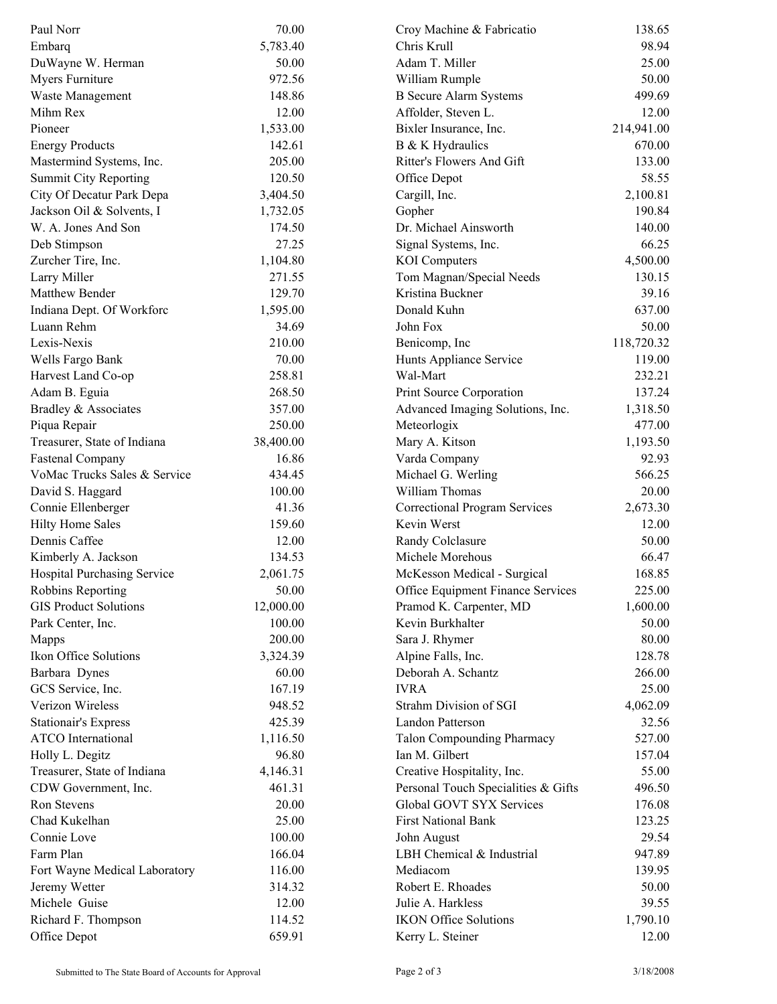| Paul Norr                          | 70.00     | Croy Machine & Fabricatio            | 138.65     |  |
|------------------------------------|-----------|--------------------------------------|------------|--|
| Embarg                             | 5,783.40  | Chris Krull                          | 98.94      |  |
| DuWayne W. Herman                  | 50.00     | Adam T. Miller                       | 25.00      |  |
| Myers Furniture                    | 972.56    | William Rumple                       | 50.00      |  |
| Waste Management                   | 148.86    | <b>B</b> Secure Alarm Systems        | 499.69     |  |
| Mihm Rex                           | 12.00     | Affolder, Steven L.                  | 12.00      |  |
| Pioneer                            | 1,533.00  | Bixler Insurance, Inc.               | 214,941.00 |  |
| <b>Energy Products</b>             | 142.61    | B & K Hydraulics                     | 670.00     |  |
| Mastermind Systems, Inc.           | 205.00    | Ritter's Flowers And Gift            | 133.00     |  |
| <b>Summit City Reporting</b>       | 120.50    | Office Depot                         | 58.55      |  |
| City Of Decatur Park Depa          | 3,404.50  | Cargill, Inc.                        | 2,100.81   |  |
| Jackson Oil & Solvents, I          | 1,732.05  | Gopher                               | 190.84     |  |
| W. A. Jones And Son                | 174.50    | Dr. Michael Ainsworth                | 140.00     |  |
| Deb Stimpson                       | 27.25     | Signal Systems, Inc.                 | 66.25      |  |
| Zurcher Tire, Inc.                 | 1,104.80  | <b>KOI</b> Computers                 | 4,500.00   |  |
| Larry Miller                       | 271.55    | Tom Magnan/Special Needs             | 130.15     |  |
| Matthew Bender                     | 129.70    | Kristina Buckner                     | 39.16      |  |
| Indiana Dept. Of Workforc          | 1,595.00  | Donald Kuhn                          | 637.00     |  |
| Luann Rehm                         | 34.69     | John Fox                             | 50.00      |  |
| Lexis-Nexis                        | 210.00    | Benicomp, Inc                        | 118,720.32 |  |
| Wells Fargo Bank                   | 70.00     | Hunts Appliance Service              | 119.00     |  |
| Harvest Land Co-op                 | 258.81    | Wal-Mart                             | 232.21     |  |
| Adam B. Eguia                      | 268.50    | Print Source Corporation             | 137.24     |  |
| Bradley & Associates               | 357.00    | Advanced Imaging Solutions, Inc.     | 1,318.50   |  |
|                                    | 250.00    | Meteorlogix                          | 477.00     |  |
| Piqua Repair                       | 38,400.00 |                                      | 1,193.50   |  |
| Treasurer, State of Indiana        |           | Mary A. Kitson                       |            |  |
| <b>Fastenal Company</b>            | 16.86     | Varda Company                        | 92.93      |  |
| VoMac Trucks Sales & Service       | 434.45    | Michael G. Werling                   | 566.25     |  |
| David S. Haggard                   | 100.00    | William Thomas                       | 20.00      |  |
| Connie Ellenberger                 | 41.36     | <b>Correctional Program Services</b> | 2,673.30   |  |
| <b>Hilty Home Sales</b>            | 159.60    | Kevin Werst                          | 12.00      |  |
| Dennis Caffee                      | 12.00     | Randy Colclasure                     | 50.00      |  |
| Kimberly A. Jackson                | 134.53    | Michele Morehous                     | 66.47      |  |
| <b>Hospital Purchasing Service</b> | 2,061.75  | McKesson Medical - Surgical          | 168.85     |  |
| Robbins Reporting                  | 50.00     | Office Equipment Finance Services    | 225.00     |  |
| <b>GIS Product Solutions</b>       | 12,000.00 | Pramod K. Carpenter, MD              | 1,600.00   |  |
| Park Center, Inc.                  | 100.00    | Kevin Burkhalter                     | 50.00      |  |
| Mapps                              | 200.00    | Sara J. Rhymer                       | 80.00      |  |
| Ikon Office Solutions              | 3,324.39  | Alpine Falls, Inc.                   | 128.78     |  |
| Barbara Dynes                      | 60.00     | Deborah A. Schantz                   | 266.00     |  |
| GCS Service, Inc.                  | 167.19    | <b>IVRA</b>                          | 25.00      |  |
| Verizon Wireless                   | 948.52    | Strahm Division of SGI               | 4,062.09   |  |
| <b>Stationair's Express</b>        | 425.39    | Landon Patterson                     | 32.56      |  |
| <b>ATCO</b> International          | 1,116.50  | <b>Talon Compounding Pharmacy</b>    | 527.00     |  |
| Holly L. Degitz                    | 96.80     | Ian M. Gilbert                       | 157.04     |  |
| Treasurer, State of Indiana        | 4,146.31  | Creative Hospitality, Inc.           | 55.00      |  |
| CDW Government, Inc.               | 461.31    | Personal Touch Specialities & Gifts  | 496.50     |  |
| Ron Stevens                        | 20.00     | Global GOVT SYX Services             | 176.08     |  |
| Chad Kukelhan                      | 25.00     | <b>First National Bank</b>           | 123.25     |  |
| Connie Love                        | 100.00    | John August                          | 29.54      |  |
| Farm Plan                          | 166.04    | LBH Chemical & Industrial            | 947.89     |  |
| Fort Wayne Medical Laboratory      | 116.00    | Mediacom                             | 139.95     |  |
| Jeremy Wetter                      | 314.32    | Robert E. Rhoades                    | 50.00      |  |
| Michele Guise                      | 12.00     | Julie A. Harkless                    | 39.55      |  |
| Richard F. Thompson                | 114.52    | <b>IKON Office Solutions</b>         | 1,790.10   |  |
| Office Depot                       | 659.91    | Kerry L. Steiner                     | 12.00      |  |